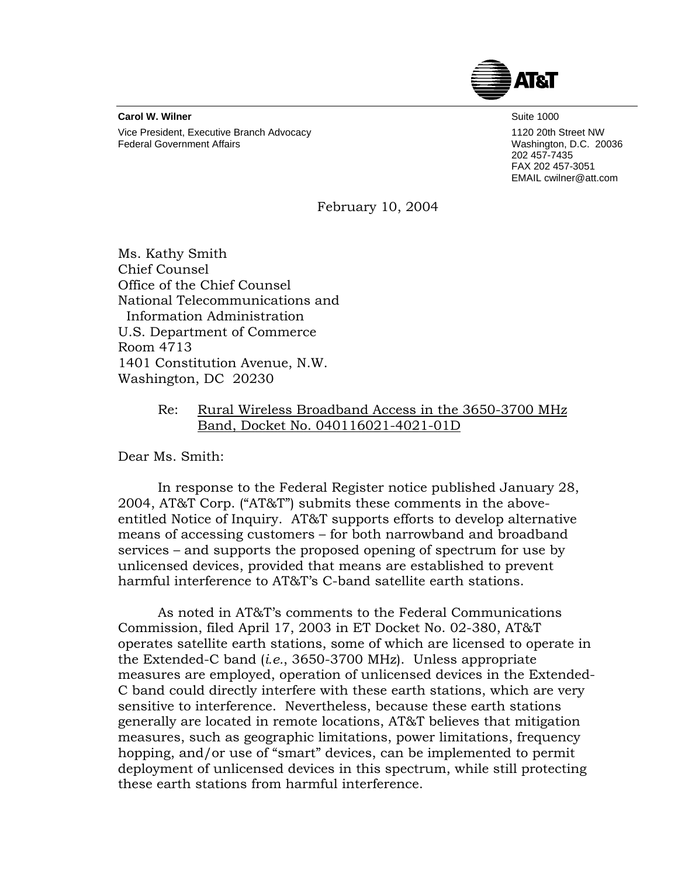

**Carol W. Wilner** Suite 1000 Vice President, Executive Branch Advocacy 1120 20th Street NW Federal Government Affairs **Washington, D.C. 20036** Washington, D.C. 20036

202 457-7435 FAX 202 457-3051 EMAIL cwilner@att.com

February 10, 2004

Ms. Kathy Smith Chief Counsel Office of the Chief Counsel National Telecommunications and Information Administration U.S. Department of Commerce Room 4713 1401 Constitution Avenue, N.W. Washington, DC 20230

## Re: Rural Wireless Broadband Access in the 3650-3700 MHz Band, Docket No. 040116021-4021-01D

Dear Ms. Smith:

In response to the Federal Register notice published January 28, 2004, AT&T Corp. ("AT&T") submits these comments in the aboveentitled Notice of Inquiry. AT&T supports efforts to develop alternative means of accessing customers – for both narrowband and broadband services – and supports the proposed opening of spectrum for use by unlicensed devices, provided that means are established to prevent harmful interference to AT&T's C-band satellite earth stations.

As noted in AT&T's comments to the Federal Communications Commission, filed April 17, 2003 in ET Docket No. 02-380, AT&T operates satellite earth stations, some of which are licensed to operate in the Extended-C band (*i.e.*, 3650-3700 MHz). Unless appropriate measures are employed, operation of unlicensed devices in the Extended-C band could directly interfere with these earth stations, which are very sensitive to interference. Nevertheless, because these earth stations generally are located in remote locations, AT&T believes that mitigation measures, such as geographic limitations, power limitations, frequency hopping, and/or use of "smart" devices, can be implemented to permit deployment of unlicensed devices in this spectrum, while still protecting these earth stations from harmful interference.